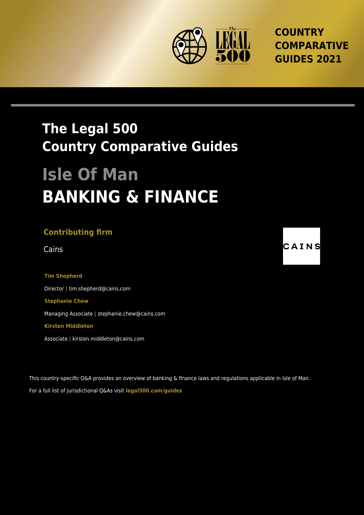

**COUNTRY COMPARATIVE GUIDES 2021**

## **The Legal 500 Country Comparative Guides**

# **Isle Of Man BANKING & FINANCE**

### **Contributing firm**

**Tim Shepherd** Director **|** tim.shepherd@cains.com **Stephanie Chew** Managing Associate **|** stephanie.chew@cains.com **Kirsten Middleton**

Associate **|** kirsten.middleton@cains.com

This country-specific Q&A provides an overview of banking & finance laws and regulations applicable in Isle of Man. For a full list of jurisdictional Q&As visit **[legal500.com/guides](https://www.legal500.com/guides/)**

Cains **CAINS**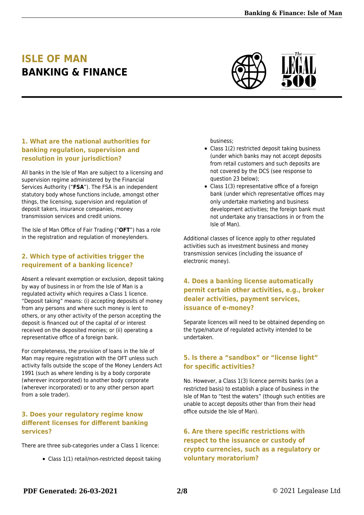## **ISLE OF MAN BANKING & FINANCE**



#### **1. What are the national authorities for banking regulation, supervision and resolution in your jurisdiction?**

All banks in the Isle of Man are subject to a licensing and supervision regime administered by the Financial Services Authority ("**FSA**"). The FSA is an independent statutory body whose functions include, amongst other things, the licensing, supervision and regulation of deposit takers, insurance companies, money transmission services and credit unions.

The Isle of Man Office of Fair Trading ("**OFT**") has a role in the registration and regulation of moneylenders.

#### **2. Which type of activities trigger the requirement of a banking licence?**

Absent a relevant exemption or exclusion, deposit taking by way of business in or from the Isle of Man is a regulated activity which requires a Class 1 licence. "Deposit taking" means: (i) accepting deposits of money from any persons and where such money is lent to others, or any other activity of the person accepting the deposit is financed out of the capital of or interest received on the deposited monies; or (ii) operating a representative office of a foreign bank.

For completeness, the provision of loans in the Isle of Man may require registration with the OFT unless such activity falls outside the scope of the Money Lenders Act 1991 (such as where lending is by a body corporate (wherever incorporated) to another body corporate (wherever incorporated) or to any other person apart from a sole trader).

#### **3. Does your regulatory regime know different licenses for different banking services?**

There are three sub-categories under a Class 1 licence:

Class 1(1) retail/non-restricted deposit taking

business;

- Class 1(2) restricted deposit taking business (under which banks may not accept deposits from retail customers and such deposits are not covered by the DCS (see response to question 23 below);
- Class 1(3) representative office of a foreign bank (under which representative offices may only undertake marketing and business development activities; the foreign bank must not undertake any transactions in or from the Isle of Man).

Additional classes of licence apply to other regulated activities such as investment business and money transmission services (including the issuance of electronic money).

#### **4. Does a banking license automatically permit certain other activities, e.g., broker dealer activities, payment services, issuance of e-money?**

Separate licences will need to be obtained depending on the type/nature of regulated activity intended to be undertaken.

#### **5. Is there a "sandbox" or "license light" for specific activities?**

No. However, a Class 1(3) licence permits banks (on a restricted basis) to establish a place of business in the Isle of Man to "test the waters" (though such entities are unable to accept deposits other than from their head office outside the Isle of Man).

#### **6. Are there specific restrictions with respect to the issuance or custody of crypto currencies, such as a regulatory or voluntary moratorium?**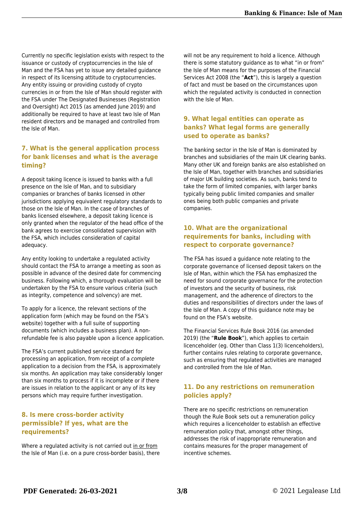Currently no specific legislation exists with respect to the issuance or custody of cryptocurrencies in the Isle of Man and the FSA has yet to issue any detailed guidance in respect of its licensing attitude to cryptocurrencies. Any entity issuing or providing custody of crypto currencies in or from the Isle of Man should register with the FSA under The Designated Businesses (Registration and Oversight) Act 2015 (as amended June 2019) and additionally be required to have at least two Isle of Man resident directors and be managed and controlled from the Isle of Man.

#### **7. What is the general application process for bank licenses and what is the average timing?**

A deposit taking licence is issued to banks with a full presence on the Isle of Man, and to subsidiary companies or branches of banks licensed in other jurisdictions applying equivalent regulatory standards to those on the Isle of Man. In the case of branches of banks licensed elsewhere, a deposit taking licence is only granted when the regulator of the head office of the bank agrees to exercise consolidated supervision with the FSA, which includes consideration of capital adequacy.

Any entity looking to undertake a regulated activity should contact the FSA to arrange a meeting as soon as possible in advance of the desired date for commencing business. Following which, a thorough evaluation will be undertaken by the FSA to ensure various criteria (such as integrity, competence and solvency) are met.

To apply for a licence, the relevant sections of the application form (which may be found on the FSA's website) together with a full suite of supporting documents (which includes a business plan). A nonrefundable fee is also payable upon a licence application.

The FSA's current published service standard for processing an application, from receipt of a complete application to a decision from the FSA, is approximately six months. An application may take considerably longer than six months to process if it is incomplete or if there are issues in relation to the applicant or any of its key persons which may require further investigation.

#### **8. Is mere cross-border activity permissible? If yes, what are the requirements?**

Where a regulated activity is not carried out in or from the Isle of Man (i.e. on a pure cross-border basis), there

will not be any requirement to hold a licence. Although there is some statutory guidance as to what "in or from" the Isle of Man means for the purposes of the Financial Services Act 2008 (the "**Act**"), this is largely a question of fact and must be based on the circumstances upon which the regulated activity is conducted in connection with the Isle of Man.

#### **9. What legal entities can operate as banks? What legal forms are generally used to operate as banks?**

The banking sector in the Isle of Man is dominated by branches and subsidiaries of the main UK clearing banks. Many other UK and foreign banks are also established on the Isle of Man, together with branches and subsidiaries of major UK building societies. As such, banks tend to take the form of limited companies, with larger banks typically being public limited companies and smaller ones being both public companies and private companies.

#### **10. What are the organizational requirements for banks, including with respect to corporate governance?**

The FSA has issued a guidance note relating to the corporate governance of licensed deposit takers on the Isle of Man, within which the FSA has emphasized the need for sound corporate governance for the protection of investors and the security of business, risk management, and the adherence of directors to the duties and responsibilities of directors under the laws of the Isle of Man. A copy of this guidance note may be found on the FSA's website.

The Financial Services Rule Book 2016 (as amended 2019) (the "**Rule Book**"), which applies to certain licenceholder (eg. Other than Class 1(3) licenceholders), further contains rules relating to corporate governance, such as ensuring that regulated activities are managed and controlled from the Isle of Man.

#### **11. Do any restrictions on remuneration policies apply?**

There are no specific restrictions on remuneration though the Rule Book sets out a remuneration policy which requires a licenceholder to establish an effective remuneration policy that, amongst other things, addresses the risk of inappropriate remuneration and contains measures for the proper management of incentive schemes.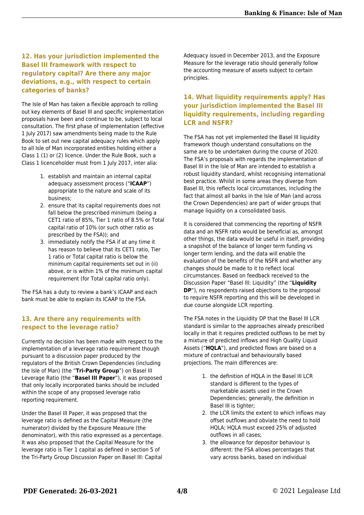#### **12. Has your jurisdiction implemented the Basel III framework with respect to regulatory capital? Are there any major deviations, e.g., with respect to certain categories of banks?**

The Isle of Man has taken a flexible approach to rolling out key elements of Basel III and specific implementation proposals have been and continue to be, subject to local consultation. The first phase of implementation (effective 1 July 2017) saw amendments being made to the Rule Book to set out new capital adequacy rules which apply to all Isle of Man incorporated entities holding either a Class 1 (1) or (2) licence. Under the Rule Book, such a Class 1 licenceholder must from 1 July 2017, inter alia:

- 1. establish and maintain an internal capital adequacy assessment process ("**ICAAP**") appropriate to the nature and scale of its business;
- 2. ensure that its capital requirements does not fall below the prescribed minimum (being a CET1 ratio of 85%, Tier 1 ratio of 8.5% or Total capital ratio of 10% (or such other ratio as prescribed by the FSA)); and
- 3. immediately notify the FSA if at any time it has reason to believe that its CET1 ratio, Tier 1 ratio or Total capital ratio is below the minimum capital requirements set out in (ii) above, or is within 1% of the minimum capital requirement (for Total capital ratio only).

The FSA has a duty to review a bank's ICAAP and each bank must be able to explain its ICAAP to the FSA.

#### **13. Are there any requirements with respect to the leverage ratio?**

Currently no decision has been made with respect to the implementation of a leverage ratio requirement though pursuant to a discussion paper produced by the regulators of the British Crown Dependencies (including the Isle of Man) (the "**Tri-Party Group**") on Basel III Leverage Ratio (the "**Basel III Paper**"), it was proposed that only locally incorporated banks should be included within the scope of any proposed leverage ratio reporting requirement.

Under the Basel III Paper, it was proposed that the leverage ratio is defined as the Capital Measure (the numerator) divided by the Exposure Measure (the denominator), with this ratio expressed as a percentage. It was also proposed that the Capital Measure for the leverage ratio is Tier 1 capital as defined in section 5 of the Tri-Party Group Discussion Paper on Basel III: Capital

Adequacy issued in December 2013, and the Exposure Measure for the leverage ratio should generally follow the accounting measure of assets subject to certain principles.

#### **14. What liquidity requirements apply? Has your jurisdiction implemented the Basel III liquidity requirements, including regarding LCR and NSFR?**

The FSA has not yet implemented the Basel III liquidity framework though understand consultations on the same are to be undertaken during the course of 2020. The FSA's proposals with regards the implementation of Basel III in the Isle of Man are intended to establish a robust liquidity standard, whilst recognising international best practice. Whilst in some areas they diverge from Basel III, this reflects local circumstances, including the fact that almost all banks in the Isle of Man (and across the Crown Dependencies) are part of wider groups that manage liquidity on a consolidated basis.

It is considered that commencing the reporting of NSFR data and an NSFR ratio would be beneficial as, amongst other things, the data would be useful in itself, providing a snapshot of the balance of longer term funding vs longer term lending, and the data will enable the evaluation of the benefits of the NSFR and whether any changes should be made to it to reflect local circumstances. Based on feedback received to the Discussion Paper "Basel III: Liquidity" (the "**Liquidity DP**"), no respondents raised objections to the proposal to require NSFR reporting and this will be developed in due course alongside LCR reporting.

The FSA notes in the Liquidity DP that the Basel III LCR standard is similar to the approaches already prescribed locally in that it requires predicted outflows to be met by a mixture of predicted inflows and High Quality Liquid Assets ("**HQLA**"), and predicted flows are based on a mixture of contractual and behaviourally based projections. The main differences are:

- 1. the definition of HQLA in the Basel III LCR standard is different to the types of marketable assets used in the Crown Dependencies; generally, the definition in Basel III is tighter;
- 2. the LCR limits the extent to which inflows may offset outflows and obviate the need to hold HQLA; HQLA must exceed 25% of adjusted outflows in all cases;
- 3. the allowance for depositor behaviour is different: the FSA allows percentages that vary across banks, based on individual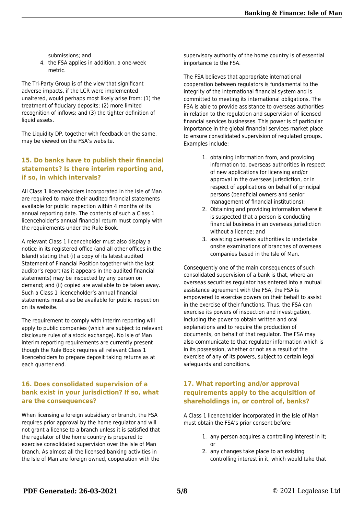submissions; and

4. the FSA applies in addition, a one-week metric.

The Tri-Party Group is of the view that significant adverse impacts, if the LCR were implemented unaltered, would perhaps most likely arise from: (1) the treatment of fiduciary deposits; (2) more limited recognition of inflows; and (3) the tighter definition of liquid assets.

The Liquidity DP, together with feedback on the same, may be viewed on the FSA's website.

#### **15. Do banks have to publish their financial statements? Is there interim reporting and, if so, in which intervals?**

All Class 1 licenceholders incorporated in the Isle of Man are required to make their audited financial statements available for public inspection within 4 months of its annual reporting date. The contents of such a Class 1 licenceholder's annual financial return must comply with the requirements under the Rule Book.

A relevant Class 1 licenceholder must also display a notice in its registered office (and all other offices in the Island) stating that (i) a copy of its latest audited Statement of Financial Position together with the last auditor's report (as it appears in the audited financial statements) may be inspected by any person on demand; and (ii) copied are available to be taken away. Such a Class 1 licenceholder's annual financial statements must also be available for public inspection on its website.

The requirement to comply with interim reporting will apply to public companies (which are subject to relevant disclosure rules of a stock exchange). No Isle of Man interim reporting requirements are currently present though the Rule Book requires all relevant Class 1 licenceholders to prepare deposit taking returns as at each quarter end.

#### **16. Does consolidated supervision of a bank exist in your jurisdiction? If so, what are the consequences?**

When licensing a foreign subsidiary or branch, the FSA requires prior approval by the home regulator and will not grant a license to a branch unless it is satisfied that the regulator of the home country is prepared to exercise consolidated supervision over the Isle of Man branch. As almost all the licensed banking activities in the Isle of Man are foreign owned, cooperation with the

supervisory authority of the home country is of essential importance to the FSA.

The FSA believes that appropriate international cooperation between regulators is fundamental to the integrity of the international financial system and is committed to meeting its international obligations. The FSA is able to provide assistance to overseas authorities in relation to the regulation and supervision of licensed financial services businesses. This power is of particular importance in the global financial services market place to ensure consolidated supervision of regulated groups. Examples include:

- 1. obtaining information from, and providing information to, overseas authorities in respect of new applications for licensing and/or approval in the overseas jurisdiction, or in respect of applications on behalf of principal persons (beneficial owners and senior management of financial institutions);
- 2. Obtaining and providing information where it is suspected that a person is conducting financial business in an overseas jurisdiction without a licence; and
- 3. assisting overseas authorities to undertake onsite examinations of branches of overseas companies based in the Isle of Man.

Consequently one of the main consequences of such consolidated supervision of a bank is that, where an overseas securities regulator has entered into a mutual assistance agreement with the FSA, the FSA is empowered to exercise powers on their behalf to assist in the exercise of their functions. Thus, the FSA can exercise its powers of inspection and investigation, including the power to obtain written and oral explanations and to require the production of documents, on behalf of that regulator. The FSA may also communicate to that regulator information which is in its possession, whether or not as a result of the exercise of any of its powers, subject to certain legal safeguards and conditions.

#### **17. What reporting and/or approval requirements apply to the acquisition of shareholdings in, or control of, banks?**

A Class 1 licenceholder incorporated in the Isle of Man must obtain the FSA's prior consent before:

- 1. any person acquires a controlling interest in it; or
- 2. any changes take place to an existing controlling interest in it, which would take that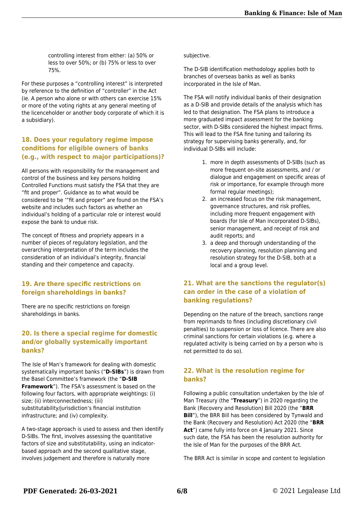controlling interest from either: (a) 50% or less to over 50%; or (b) 75% or less to over 75%.

For these purposes a "controlling interest" is interpreted by reference to the definition of "controller" in the Act (ie. A person who alone or with others can exercise 15% or more of the voting rights at any general meeting of the licenceholder or another body corporate of which it is a subsidiary).

#### **18. Does your regulatory regime impose conditions for eligible owners of banks (e.g., with respect to major participations)?**

All persons with responsibility for the management and control of the business and key persons holding Controlled Functions must satisfy the FSA that they are "fit and proper". Guidance as to what would be considered to be '"fit and proper" are found on the FSA's website and includes such factors as whether an individual's holding of a particular role or interest would expose the bank to undue risk.

The concept of fitness and propriety appears in a number of pieces of regulatory legislation, and the overarching interpretation of the term includes the consideration of an individual's integrity, financial standing and their competence and capacity.

#### **19. Are there specific restrictions on foreign shareholdings in banks?**

There are no specific restrictions on foreign shareholdings in banks.

#### **20. Is there a special regime for domestic and/or globally systemically important banks?**

The Isle of Man's framework for dealing with domestic systematically important banks ("**D-SIBs**") is drawn from the Basel Committee's framework (the "**D-SIB Framework**"). The FSA's assessment is based on the following four factors, with appropriate weightings: (i) size; (ii) interconnectedness; (iii) substitutability/jurisdiction's financial institution infrastructure; and (iv) complexity.

A two-stage approach is used to assess and then identify D-SIBs. The first, involves assessing the quantitative factors of size and substitutability, using an indicatorbased approach and the second qualitative stage, involves judgement and therefore is naturally more

subjective.

The D-SIB identification methodology applies both to branches of overseas banks as well as banks incorporated in the Isle of Man.

The FSA will notify individual banks of their designation as a D-SIB and provide details of the analysis which has led to that designation. The FSA plans to introduce a more graduated impact assessment for the banking sector, with D-SIBs considered the highest impact firms. This will lead to the FSA fine tuning and tailoring its strategy for supervising banks generally, and, for individual D-SIBs will include:

- 1. more in depth assessments of D-SIBs (such as more frequent on-site assessments, and / or dialogue and engagement on specific areas of risk or importance, for example through more formal regular meetings):
- 2. an increased focus on the risk management, governance structures, and risk profiles, including more frequent engagement with boards (for Isle of Man incorporated D-SIBs), senior management, and receipt of risk and audit reports; and
- 3. a deep and thorough understanding of the recovery planning, resolution planning and resolution strategy for the D-SIB, both at a local and a group level.

#### **21. What are the sanctions the regulator(s) can order in the case of a violation of banking regulations?**

Depending on the nature of the breach, sanctions range from reprimands to fines (including discretionary civil penalties) to suspension or loss of licence. There are also criminal sanctions for certain violations (e.g. where a regulated activity is being carried on by a person who is not permitted to do so).

#### **22. What is the resolution regime for banks?**

Following a public consultation undertaken by the Isle of Man Treasury (the "**Treasury**") in 2020 regarding the Bank (Recovery and Resolution) Bill 2020 (the "**BRR Bill**"), the BRR Bill has been considered by Tynwald and the Bank (Recovery and Resolution) Act 2020 (the "**BRR Act**") came fully into force on 4 January 2021. Since such date, the FSA has been the resolution authority for the Isle of Man for the purposes of the BRR Act.

The BRR Act is similar in scope and content to legislation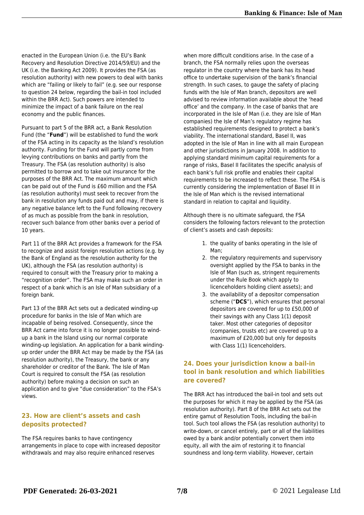enacted in the European Union (i.e. the EU's Bank Recovery and Resolution Directive 2014/59/EU) and the UK (i.e. the Banking Act 2009). It provides the FSA (as resolution authority) with new powers to deal with banks which are "failing or likely to fail" (e.g. see our response to question 24 below, regarding the bail-in tool included within the BRR Act). Such powers are intended to minimize the impact of a bank failure on the real economy and the public finances.

Pursuant to part 5 of the BRR act, a Bank Resolution Fund (the "**Fund**") will be established to fund the work of the FSA acting in its capacity as the Island's resolution authority. Funding for the Fund will partly come from levying contributions on banks and partly from the Treasury. The FSA (as resolution authority) is also permitted to borrow and to take out insurance for the purposes of the BRR Act. The maximum amount which can be paid out of the Fund is £60 million and the FSA (as resolution authority) must seek to recover from the bank in resolution any funds paid out and may, if there is any negative balance left to the Fund following recovery of as much as possible from the bank in resolution, recover such balance from other banks over a period of 10 years.

Part 11 of the BRR Act provides a framework for the FSA to recognize and assist foreign resolution actions (e.g. by the Bank of England as the resolution authority for the UK), although the FSA (as resolution authority) is required to consult with the Treasury prior to making a "recognition order". The FSA may make such an order in respect of a bank which is an Isle of Man subsidiary of a foreign bank.

Part 13 of the BRR Act sets out a dedicated winding-up procedure for banks in the Isle of Man which are incapable of being resolved. Consequently, since the BRR Act came into force it is no longer possible to windup a bank in the Island using our normal corporate winding-up legislation. An application for a bank windingup order under the BRR Act may be made by the FSA (as resolution authority), the Treasury, the bank or any shareholder or creditor of the Bank. The Isle of Man Court is required to consult the FSA (as resolution authority) before making a decision on such an application and to give "due consideration" to the FSA's views.

#### **23. How are client's assets and cash deposits protected?**

The FSA requires banks to have contingency arrangements in place to cope with increased depositor withdrawals and may also require enhanced reserves

when more difficult conditions arise. In the case of a branch, the FSA normally relies upon the overseas regulator in the country where the bank has its head office to undertake supervision of the bank's financial strength. In such cases, to gauge the safety of placing funds with the Isle of Man branch, depositors are well advised to review information available about the 'head office' and the company. In the case of banks that are incorporated in the Isle of Man (i.e. they are Isle of Man companies) the Isle of Man's regulatory regime has established requirements designed to protect a bank's viability. The international standard, Basel II, was adopted in the Isle of Man in line with all main European and other jurisdictions in January 2008. In addition to applying standard minimum capital requirements for a range of risks, Basel II facilitates the specific analysis of each bank's full risk profile and enables their capital requirements to be increased to reflect these. The FSA is currently considering the implementation of Basel III in the Isle of Man which is the revised international standard in relation to capital and liquidity.

Although there is no ultimate safeguard, the FSA considers the following factors relevant to the protection of client's assets and cash deposits:

- 1. the quality of banks operating in the Isle of Man;
- 2. the regulatory requirements and supervisory oversight applied by the FSA to banks in the Isle of Man (such as, stringent requirements under the Rule Book which apply to licenceholders holding client assets); and
- 3. the availability of a depositor compensation scheme ("**DCS**"), which ensures that personal depositors are covered for up to £50,000 of their savings with any Class 1(1) deposit taker. Most other categories of depositor (companies, trusts etc) are covered up to a maximum of £20,000 but only for deposits with Class 1(1) licenceholders.

#### **24. Does your jurisdiction know a bail-in tool in bank resolution and which liabilities are covered?**

The BRR Act has introduced the bail-in tool and sets out the purposes for which it may be applied by the FSA (as resolution authority). Part 8 of the BRR Act sets out the entire gamut of Resolution Tools, including the bail-in tool. Such tool allows the FSA (as resolution authority) to write-down, or cancel entirely, part or all of the liabilities owed by a bank and/or potentially convert them into equity, all with the aim of restoring it to financial soundness and long-term viability. However, certain